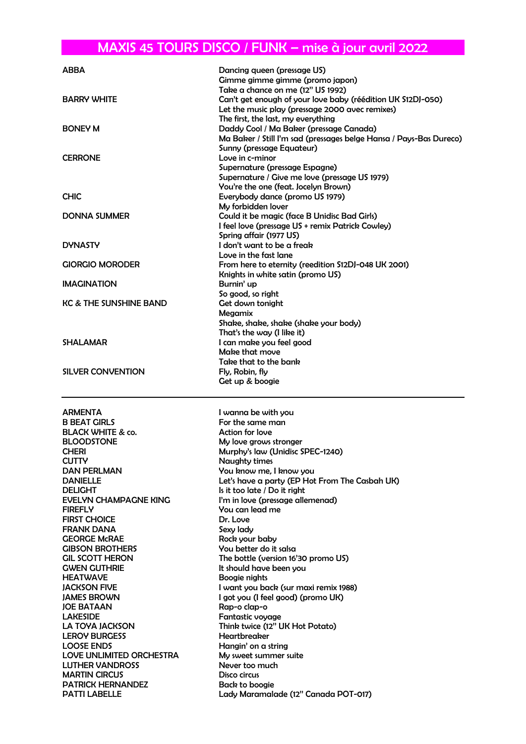## MAXIS 45 TOURS DISCO / FUNK – mise à jour avril 2022

| <b>ABBA</b>                                      | Dancing queen (pressage US)                                                           |
|--------------------------------------------------|---------------------------------------------------------------------------------------|
|                                                  | Gimme gimme gimme (promo japon)                                                       |
|                                                  | Take a chance on me (12" US 1992)                                                     |
| <b>BARRY WHITE</b>                               | Can't get enough of your love baby (réédition UK S12DJ-050)                           |
|                                                  | Let the music play (pressage 2000 avec remixes)<br>The first, the last, my everything |
| <b>BONEY M</b>                                   | Daddy Cool / Ma Baker (pressage Canada)                                               |
|                                                  | Ma Baker / Still I'm sad (pressages belge Hansa / Pays-Bas Dureco)                    |
|                                                  | Sunny (pressage Equateur)                                                             |
| <b>CERRONE</b>                                   | Love in c-minor                                                                       |
|                                                  | Supernature (pressage Espagne)                                                        |
|                                                  | Supernature / Give me love (pressage US 1979)                                         |
|                                                  | You're the one (feat. Jocelyn Brown)                                                  |
| <b>CHIC</b>                                      | Everybody dance (promo US 1979)<br>My forbidden lover                                 |
| <b>DONNA SUMMER</b>                              | Could it be magic (face B Unidisc Bad Girls)                                          |
|                                                  | I feel love (pressage US + remix Patrick Cowley)                                      |
|                                                  | Spring affair (1977 US)                                                               |
| <b>DYNASTY</b>                                   | I don't want to be a freak                                                            |
|                                                  | Love in the fast lane                                                                 |
| <b>GIORGIO MORODER</b>                           | From here to eternity (reedition S12DJ-048 UK 2001)                                   |
|                                                  | Knights in white satin (promo US)                                                     |
| <b>IMAGINATION</b>                               | Burnin' up<br>So good, so right                                                       |
| <b>KC &amp; THE SUNSHINE BAND</b>                | Get down tonight                                                                      |
|                                                  | Megamix                                                                               |
|                                                  | Shake, shake, shake (shake your body)                                                 |
|                                                  | That's the way (I like it)                                                            |
| <b>SHALAMAR</b>                                  | I can make you feel good                                                              |
|                                                  | Make that move                                                                        |
|                                                  | Take that to the bank                                                                 |
| SILVER CONVENTION                                | Fly, Robin, fly<br>Get up & boogie                                                    |
|                                                  |                                                                                       |
|                                                  |                                                                                       |
|                                                  |                                                                                       |
| <b>ARMENTA</b>                                   | I wanna be with you                                                                   |
| <b>B BEAT GIRLS</b>                              | For the same man                                                                      |
| <b>BLACK WHITE &amp; co.</b>                     | <b>Action for love</b>                                                                |
| <b>BLOODSTONE</b>                                | My love grows stronger                                                                |
| <b>CHERI</b><br><b>CUTTY</b>                     | Murphy's law (Unidisc SPEC-1240)                                                      |
| DAN PERLMAN                                      | Naughty times<br>You know me, I know you                                              |
| <b>DANIELLE</b>                                  | Let's have a party (EP Hot From The Casbah UK)                                        |
| <b>DELIGHT</b>                                   | Is it too late / Do it right                                                          |
| <b>EVELYN CHAMPAGNE KING</b>                     | I'm in love (pressage allemenad)                                                      |
| <b>FIREFLY</b>                                   | You can lead me                                                                       |
| <b>FIRST CHOICE</b>                              | Dr. Love                                                                              |
| <b>FRANK DANA</b>                                | Sexy lady                                                                             |
| <b>GEORGE McRAE</b><br><b>GIBSON BROTHERS</b>    | Rock your baby<br>You better do it salsa                                              |
| <b>GIL SCOTT HERON</b>                           | The bottle (version 16'30 promo US)                                                   |
| <b>GWEN GUTHRIE</b>                              | It should have been you                                                               |
| <b>HEATWAVE</b>                                  | Boogie nights                                                                         |
| <b>JACKSON FIVE</b>                              | I want you back (sur maxi remix 1988)                                                 |
| <b>JAMES BROWN</b>                               | I got you (I feel good) (promo UK)                                                    |
| <b>JOE BATAAN</b><br><b>LAKESIDE</b>             | Rap-o clap-o<br>Fantastic voyage                                                      |
| LA TOYA JACKSON                                  | Think twice (12" UK Hot Potato)                                                       |
| <b>LEROY BURGESS</b>                             | Heartbreaker                                                                          |
| <b>LOOSE ENDS</b>                                | Hangin' on a string                                                                   |
| LOVE UNLIMITED ORCHESTRA                         | My sweet summer suite                                                                 |
| <b>LUTHER VANDROSS</b>                           | Never too much                                                                        |
| <b>MARTIN CIRCUS</b><br><b>PATRICK HERNANDEZ</b> | Disco circus<br>Back to boogie                                                        |